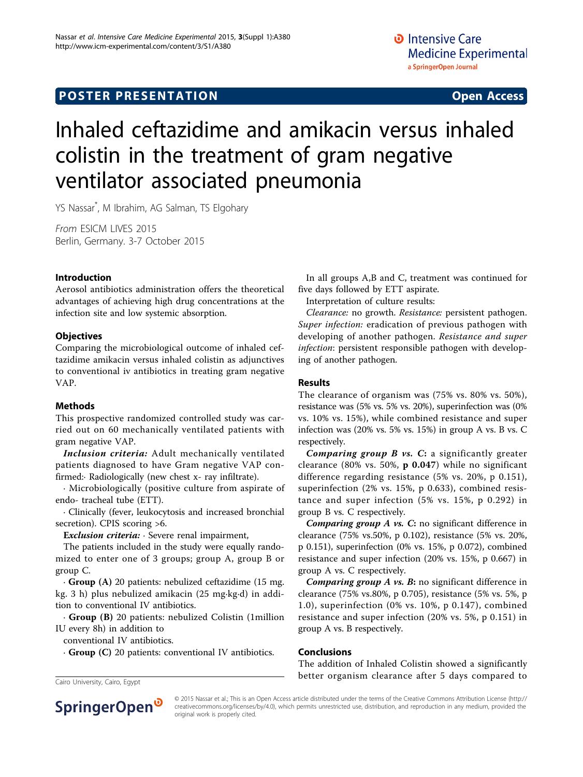## **POSTER PRESENTATION CONSUMING ACCESS**

# Inhaled ceftazidime and amikacin versus inhaled colistin in the treatment of gram negative ventilator associated pneumonia

YS Nassar\* , M Ibrahim, AG Salman, TS Elgohary

From ESICM LIVES 2015 Berlin, Germany. 3-7 October 2015

#### Introduction

Aerosol antibiotics administration offers the theoretical advantages of achieving high drug concentrations at the infection site and low systemic absorption.

#### **Objectives**

Comparing the microbiological outcome of inhaled ceftazidime amikacin versus inhaled colistin as adjunctives to conventional iv antibiotics in treating gram negative VAP.

#### Methods

This prospective randomized controlled study was carried out on 60 mechanically ventilated patients with gram negative VAP.

Inclusion criteria: Adult mechanically ventilated patients diagnosed to have Gram negative VAP confirmed:· Radiologically (new chest x- ray infiltrate).

· Microbiologically (positive culture from aspirate of endo- tracheal tube (ETT).

· Clinically (fever, leukocytosis and increased bronchial secretion). CPIS scoring >6.

Exclusion criteria: Severe renal impairment,

The patients included in the study were equally randomized to enter one of 3 groups; group A, group B or group C.

· Group (A) 20 patients: nebulized ceftazidime (15 mg. kg. 3 h) plus nebulized amikacin (25 mg·kg·d) in addition to conventional IV antibiotics.

· Group (B) 20 patients: nebulized Colistin (1million IU every 8h) in addition to

conventional IV antibiotics.

· Group (C) 20 patients: conventional IV antibiotics.

In all groups A,B and C, treatment was continued for five days followed by ETT aspirate.

Interpretation of culture results:

Clearance: no growth. Resistance: persistent pathogen. Super infection: eradication of previous pathogen with developing of another pathogen. Resistance and super infection: persistent responsible pathogen with developing of another pathogen.

#### Results

The clearance of organism was (75% vs. 80% vs. 50%), resistance was (5% vs. 5% vs. 20%), superinfection was (0% vs. 10% vs. 15%), while combined resistance and super infection was (20% vs. 5% vs. 15%) in group A vs. B vs. C respectively.

Comparing group  $B$  vs.  $C$ : a significantly greater clearance (80% vs. 50%,  $p$  0.047) while no significant difference regarding resistance (5% vs. 20%, p 0.151), superinfection (2% vs. 15%, p 0.633), combined resistance and super infection (5% vs. 15%, p 0.292) in group B vs. C respectively.

Comparing group A vs. C: no significant difference in clearance (75% vs.50%, p 0.102), resistance (5% vs. 20%, p 0.151), superinfection (0% vs. 15%, p 0.072), combined resistance and super infection (20% vs. 15%, p 0.667) in group A vs. C respectively.

Comparing group A vs. B: no significant difference in clearance (75% vs.80%, p 0.705), resistance (5% vs. 5%, p 1.0), superinfection (0% vs. 10%, p 0.147), combined resistance and super infection (20% vs. 5%, p 0.151) in group A vs. B respectively.

#### Conclusions

The addition of Inhaled Colistin showed a significantly Cairo University, Cairo, Egypt **Cairo University, Cairo, Egypt compared to** Cairo University, Cairo, Egypt



© 2015 Nassar et al.; This is an Open Access article distributed under the terms of the Creative Commons Attribution License [\(http://](http://creativecommons.org/licenses/by/4.0) [creativecommons.org/licenses/by/4.0](http://creativecommons.org/licenses/by/4.0)), which permits unrestricted use, distribution, and reproduction in any medium, provided the original work is properly cited.